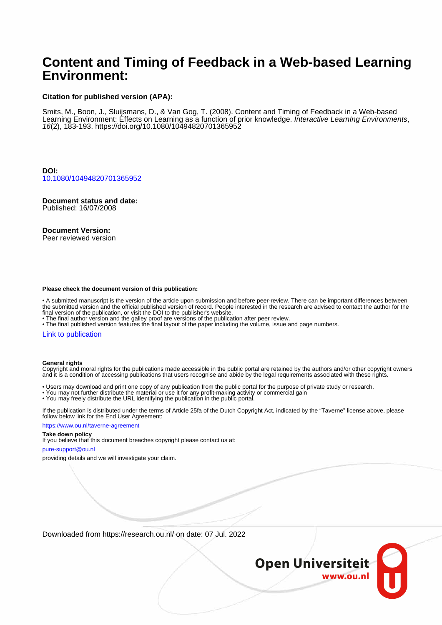# **Content and Timing of Feedback in a Web-based Learning Environment:**

#### **Citation for published version (APA):**

Smits, M., Boon, J., Sluijsmans, D., & Van Gog, T. (2008). Content and Timing of Feedback in a Web-based Learning Environment: Effects on Learning as a function of prior knowledge. Interactive LearnIng Environments, 16(2), 183-193.<https://doi.org/10.1080/10494820701365952>

**DOI:** [10.1080/10494820701365952](https://doi.org/10.1080/10494820701365952)

# **Document status and date:**

Published: 16/07/2008

#### **Document Version:**

Peer reviewed version

#### **Please check the document version of this publication:**

• A submitted manuscript is the version of the article upon submission and before peer-review. There can be important differences between the submitted version and the official published version of record. People interested in the research are advised to contact the author for the final version of the publication, or visit the DOI to the publisher's website.

• The final author version and the galley proof are versions of the publication after peer review.

• The final published version features the final layout of the paper including the volume, issue and page numbers.

#### [Link to publication](https://research.ou.nl/en/publications/f486a233-ba58-4a5b-aae8-665e55181fd4)

#### **General rights**

Copyright and moral rights for the publications made accessible in the public portal are retained by the authors and/or other copyright owners and it is a condition of accessing publications that users recognise and abide by the legal requirements associated with these rights.

- Users may download and print one copy of any publication from the public portal for the purpose of private study or research.
- You may not further distribute the material or use it for any profit-making activity or commercial gain
- You may freely distribute the URL identifying the publication in the public portal.

If the publication is distributed under the terms of Article 25fa of the Dutch Copyright Act, indicated by the "Taverne" license above, please follow below link for the End User Agreement:

#### https://www.ou.nl/taverne-agreement

#### **Take down policy**

If you believe that this document breaches copyright please contact us at:

#### pure-support@ou.nl

providing details and we will investigate your claim.

Downloaded from https://research.ou.nl/ on date: 07 Jul. 2022

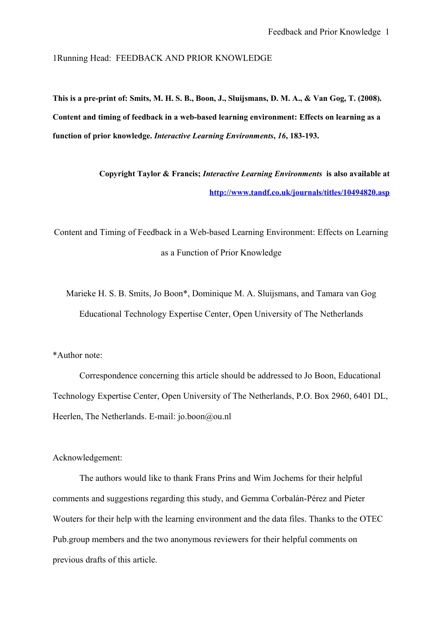1Running Head: FEEDBACK AND PRIOR KNOWLEDGE

**This is a pre-print of: Smits, M. H. S. B., Boon, J., Sluijsmans, D. M. A., & Van Gog, T. (2008). Content and timing of feedback in a web-based learning environment: Effects on learning as a function of prior knowledge.** *Interactive Learning Environments***,** *16***, 183-193.**

> **Copyright Taylor & Francis;** *Interactive Learning Environments* **is also available at <http://www.tandf.co.uk/journals/titles/10494820.asp>**

Content and Timing of Feedback in a Web-based Learning Environment: Effects on Learning as a Function of Prior Knowledge

Marieke H. S. B. Smits, Jo Boon\*, Dominique M. A. Sluijsmans, and Tamara van Gog Educational Technology Expertise Center, Open University of The Netherlands

\*Author note:

Correspondence concerning this article should be addressed to Jo Boon, Educational Technology Expertise Center, Open University of The Netherlands, P.O. Box 2960, 6401 DL, Heerlen, The Netherlands. E-mail: jo.boon@ou.nl

Acknowledgement:

The authors would like to thank Frans Prins and Wim Jochems for their helpful comments and suggestions regarding this study, and Gemma Corbalán-Pérez and Pieter Wouters for their help with the learning environment and the data files. Thanks to the OTEC Pub.group members and the two anonymous reviewers for their helpful comments on previous drafts of this article.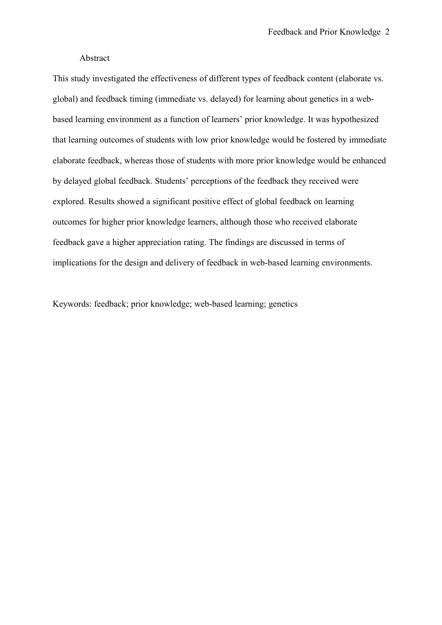## Abstract

This study investigated the effectiveness of different types of feedback content (elaborate vs. global) and feedback timing (immediate vs. delayed) for learning about genetics in a webbased learning environment as a function of learners' prior knowledge. It was hypothesized that learning outcomes of students with low prior knowledge would be fostered by immediate elaborate feedback, whereas those of students with more prior knowledge would be enhanced by delayed global feedback. Students' perceptions of the feedback they received were explored. Results showed a significant positive effect of global feedback on learning outcomes for higher prior knowledge learners, although those who received elaborate feedback gave a higher appreciation rating. The findings are discussed in terms of implications for the design and delivery of feedback in web-based learning environments.

Keywords: feedback; prior knowledge; web-based learning; genetics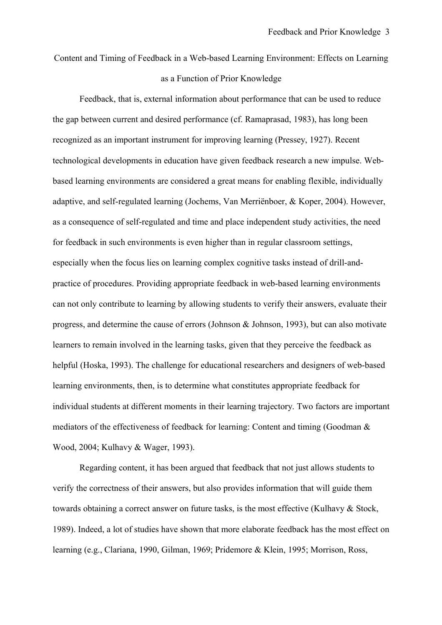# Content and Timing of Feedback in a Web-based Learning Environment: Effects on Learning as a Function of Prior Knowledge

Feedback, that is, external information about performance that can be used to reduce the gap between current and desired performance (cf. Ramaprasad, 1983), has long been recognized as an important instrument for improving learning (Pressey, 1927). Recent technological developments in education have given feedback research a new impulse. Webbased learning environments are considered a great means for enabling flexible, individually adaptive, and self-regulated learning (Jochems, Van Merriënboer, & Koper, 2004). However, as a consequence of self-regulated and time and place independent study activities, the need for feedback in such environments is even higher than in regular classroom settings, especially when the focus lies on learning complex cognitive tasks instead of drill-andpractice of procedures. Providing appropriate feedback in web-based learning environments can not only contribute to learning by allowing students to verify their answers, evaluate their progress, and determine the cause of errors (Johnson & Johnson, 1993), but can also motivate learners to remain involved in the learning tasks, given that they perceive the feedback as helpful (Hoska, 1993). The challenge for educational researchers and designers of web-based learning environments, then, is to determine what constitutes appropriate feedback for individual students at different moments in their learning trajectory. Two factors are important mediators of the effectiveness of feedback for learning: Content and timing (Goodman & Wood, 2004; Kulhavy & Wager, 1993).

Regarding content, it has been argued that feedback that not just allows students to verify the correctness of their answers, but also provides information that will guide them towards obtaining a correct answer on future tasks, is the most effective (Kulhavy & Stock, 1989). Indeed, a lot of studies have shown that more elaborate feedback has the most effect on learning (e.g., Clariana, 1990, Gilman, 1969; Pridemore & Klein, 1995; Morrison, Ross,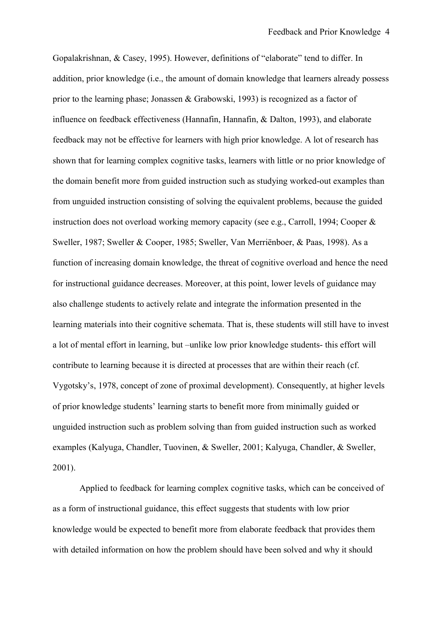Gopalakrishnan, & Casey, 1995). However, definitions of "elaborate" tend to differ. In addition, prior knowledge (i.e., the amount of domain knowledge that learners already possess prior to the learning phase; Jonassen & Grabowski, 1993) is recognized as a factor of influence on feedback effectiveness (Hannafin, Hannafin, & Dalton, 1993), and elaborate feedback may not be effective for learners with high prior knowledge. A lot of research has shown that for learning complex cognitive tasks, learners with little or no prior knowledge of the domain benefit more from guided instruction such as studying worked-out examples than from unguided instruction consisting of solving the equivalent problems, because the guided instruction does not overload working memory capacity (see e.g., Carroll, 1994; Cooper & Sweller, 1987; Sweller & Cooper, 1985; Sweller, Van Merriënboer, & Paas, 1998). As a function of increasing domain knowledge, the threat of cognitive overload and hence the need for instructional guidance decreases. Moreover, at this point, lower levels of guidance may also challenge students to actively relate and integrate the information presented in the learning materials into their cognitive schemata. That is, these students will still have to invest a lot of mental effort in learning, but –unlike low prior knowledge students- this effort will contribute to learning because it is directed at processes that are within their reach (cf. Vygotsky's, 1978, concept of zone of proximal development). Consequently, at higher levels of prior knowledge students' learning starts to benefit more from minimally guided or unguided instruction such as problem solving than from guided instruction such as worked examples (Kalyuga, Chandler, Tuovinen, & Sweller, 2001; Kalyuga, Chandler, & Sweller, 2001).

Applied to feedback for learning complex cognitive tasks, which can be conceived of as a form of instructional guidance, this effect suggests that students with low prior knowledge would be expected to benefit more from elaborate feedback that provides them with detailed information on how the problem should have been solved and why it should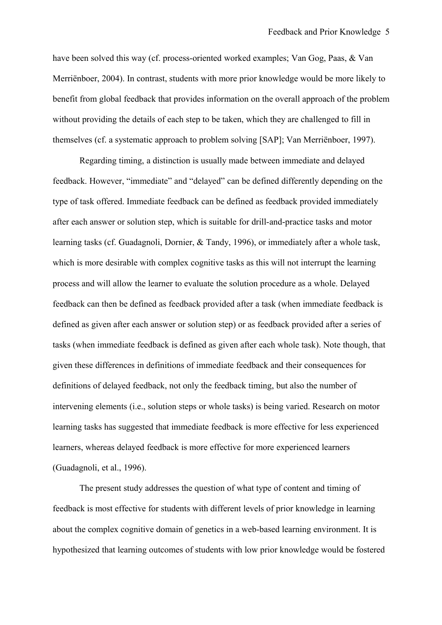have been solved this way (cf. process-oriented worked examples; Van Gog, Paas, & Van Merriënboer, 2004). In contrast, students with more prior knowledge would be more likely to benefit from global feedback that provides information on the overall approach of the problem without providing the details of each step to be taken, which they are challenged to fill in themselves (cf. a systematic approach to problem solving [SAP]; Van Merriënboer, 1997).

Regarding timing, a distinction is usually made between immediate and delayed feedback. However, "immediate" and "delayed" can be defined differently depending on the type of task offered. Immediate feedback can be defined as feedback provided immediately after each answer or solution step, which is suitable for drill-and-practice tasks and motor learning tasks (cf. Guadagnoli, Dornier, & Tandy, 1996), or immediately after a whole task, which is more desirable with complex cognitive tasks as this will not interrupt the learning process and will allow the learner to evaluate the solution procedure as a whole. Delayed feedback can then be defined as feedback provided after a task (when immediate feedback is defined as given after each answer or solution step) or as feedback provided after a series of tasks (when immediate feedback is defined as given after each whole task). Note though, that given these differences in definitions of immediate feedback and their consequences for definitions of delayed feedback, not only the feedback timing, but also the number of intervening elements (i.e., solution steps or whole tasks) is being varied. Research on motor learning tasks has suggested that immediate feedback is more effective for less experienced learners, whereas delayed feedback is more effective for more experienced learners (Guadagnoli, et al., 1996).

The present study addresses the question of what type of content and timing of feedback is most effective for students with different levels of prior knowledge in learning about the complex cognitive domain of genetics in a web-based learning environment. It is hypothesized that learning outcomes of students with low prior knowledge would be fostered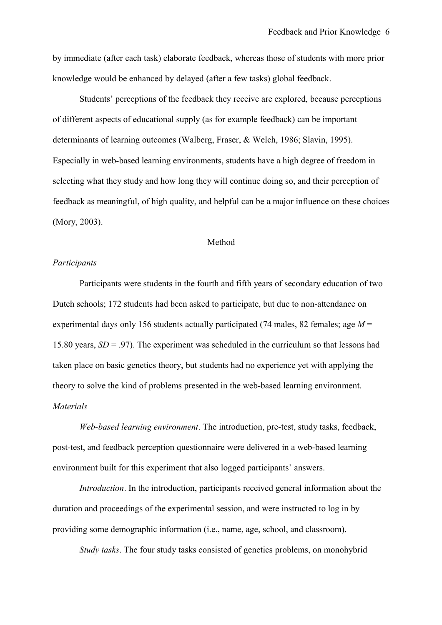by immediate (after each task) elaborate feedback, whereas those of students with more prior knowledge would be enhanced by delayed (after a few tasks) global feedback.

Students' perceptions of the feedback they receive are explored, because perceptions of different aspects of educational supply (as for example feedback) can be important determinants of learning outcomes (Walberg, Fraser, & Welch, 1986; Slavin, 1995). Especially in web-based learning environments, students have a high degree of freedom in selecting what they study and how long they will continue doing so, and their perception of feedback as meaningful, of high quality, and helpful can be a major influence on these choices (Mory, 2003).

## Method

## *Participants*

Participants were students in the fourth and fifth years of secondary education of two Dutch schools; 172 students had been asked to participate, but due to non-attendance on experimental days only 156 students actually participated (74 males, 82 females; age *M* = 15.80 years, *SD* = .97). The experiment was scheduled in the curriculum so that lessons had taken place on basic genetics theory, but students had no experience yet with applying the theory to solve the kind of problems presented in the web-based learning environment. *Materials*

*Web-based learning environment*. The introduction, pre-test, study tasks, feedback, post-test, and feedback perception questionnaire were delivered in a web-based learning environment built for this experiment that also logged participants' answers.

*Introduction*. In the introduction, participants received general information about the duration and proceedings of the experimental session, and were instructed to log in by providing some demographic information (i.e., name, age, school, and classroom).

*Study tasks*. The four study tasks consisted of genetics problems, on monohybrid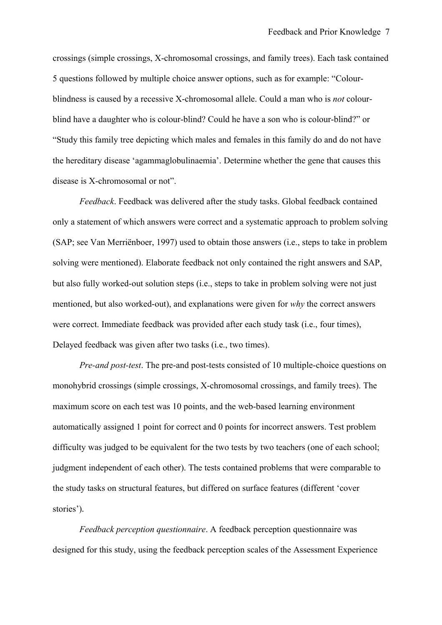crossings (simple crossings, X-chromosomal crossings, and family trees). Each task contained 5 questions followed by multiple choice answer options, such as for example: "Colourblindness is caused by a recessive X-chromosomal allele. Could a man who is *not* colourblind have a daughter who is colour-blind? Could he have a son who is colour-blind?" or "Study this family tree depicting which males and females in this family do and do not have the hereditary disease 'agammaglobulinaemia'. Determine whether the gene that causes this disease is X-chromosomal or not".

*Feedback*. Feedback was delivered after the study tasks. Global feedback contained only a statement of which answers were correct and a systematic approach to problem solving (SAP; see Van Merriënboer, 1997) used to obtain those answers (i.e., steps to take in problem solving were mentioned). Elaborate feedback not only contained the right answers and SAP, but also fully worked-out solution steps (i.e., steps to take in problem solving were not just mentioned, but also worked-out), and explanations were given for *why* the correct answers were correct. Immediate feedback was provided after each study task (i.e., four times), Delayed feedback was given after two tasks (i.e., two times).

*Pre-and post-test*. The pre-and post-tests consisted of 10 multiple-choice questions on monohybrid crossings (simple crossings, X-chromosomal crossings, and family trees). The maximum score on each test was 10 points, and the web-based learning environment automatically assigned 1 point for correct and 0 points for incorrect answers. Test problem difficulty was judged to be equivalent for the two tests by two teachers (one of each school; judgment independent of each other). The tests contained problems that were comparable to the study tasks on structural features, but differed on surface features (different 'cover stories')*.*

*Feedback perception questionnaire*. A feedback perception questionnaire was designed for this study, using the feedback perception scales of the Assessment Experience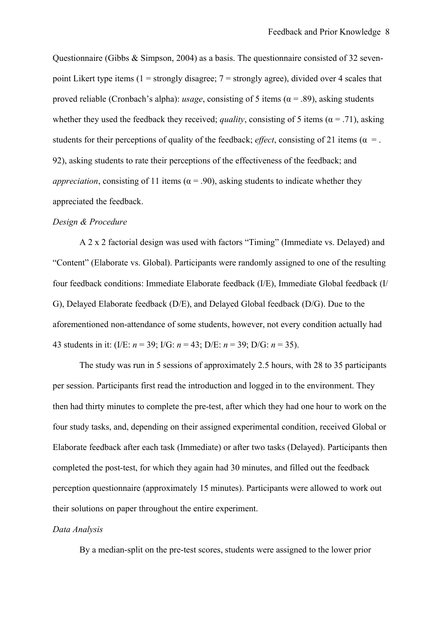Questionnaire (Gibbs & Simpson, 2004) as a basis. The questionnaire consisted of 32 sevenpoint Likert type items  $(1 =$ strongly disagree;  $7 =$ strongly agree), divided over 4 scales that proved reliable (Cronbach's alpha): *usage*, consisting of 5 items ( $\alpha$  = .89), asking students whether they used the feedback they received; *quality*, consisting of 5 items ( $\alpha$  = .71), asking students for their perceptions of quality of the feedback; *effect*, consisting of 21 items ( $\alpha$  = . 92), asking students to rate their perceptions of the effectiveness of the feedback; and *appreciation*, consisting of 11 items ( $\alpha$  = .90), asking students to indicate whether they appreciated the feedback.

## *Design & Procedure*

A 2 x 2 factorial design was used with factors "Timing" (Immediate vs. Delayed) and "Content" (Elaborate vs. Global). Participants were randomly assigned to one of the resulting four feedback conditions: Immediate Elaborate feedback (I/E), Immediate Global feedback (I/ G), Delayed Elaborate feedback (D/E), and Delayed Global feedback (D/G). Due to the aforementioned non-attendance of some students, however, not every condition actually had 43 students in it: (I/E: *n* = 39; I/G: *n* = 43; D/E: *n* = 39; D/G: *n* = 35).

The study was run in 5 sessions of approximately 2.5 hours, with 28 to 35 participants per session. Participants first read the introduction and logged in to the environment. They then had thirty minutes to complete the pre-test, after which they had one hour to work on the four study tasks, and, depending on their assigned experimental condition, received Global or Elaborate feedback after each task (Immediate) or after two tasks (Delayed). Participants then completed the post-test, for which they again had 30 minutes, and filled out the feedback perception questionnaire (approximately 15 minutes). Participants were allowed to work out their solutions on paper throughout the entire experiment.

## *Data Analysis*

By a median-split on the pre-test scores, students were assigned to the lower prior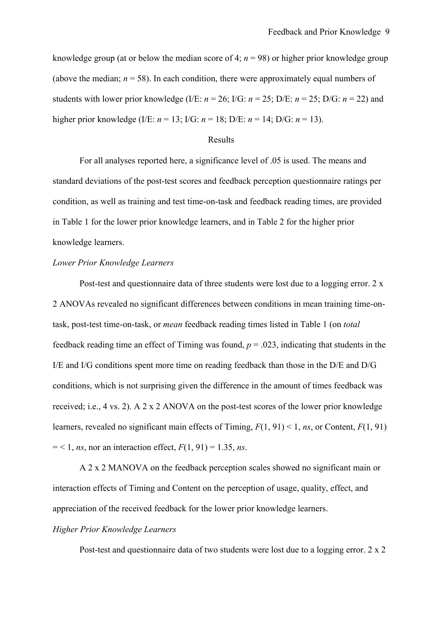knowledge group (at or below the median score of 4;  $n = 98$ ) or higher prior knowledge group (above the median;  $n = 58$ ). In each condition, there were approximately equal numbers of students with lower prior knowledge (I/E:  $n = 26$ ; I/G:  $n = 25$ ; D/E:  $n = 25$ ; D/G:  $n = 22$ ) and higher prior knowledge (I/E: *n* = 13; I/G: *n* = 18; D/E: *n* = 14; D/G: *n* = 13).

#### Results

For all analyses reported here, a significance level of .05 is used. The means and standard deviations of the post-test scores and feedback perception questionnaire ratings per condition, as well as training and test time-on-task and feedback reading times, are provided in Table 1 for the lower prior knowledge learners, and in Table 2 for the higher prior knowledge learners.

### *Lower Prior Knowledge Learners*

Post-test and questionnaire data of three students were lost due to a logging error. 2 x 2 ANOVAs revealed no significant differences between conditions in mean training time-ontask, post-test time-on-task, or *mean* feedback reading times listed in Table 1 (on *total* feedback reading time an effect of Timing was found,  $p = .023$ , indicating that students in the I/E and I/G conditions spent more time on reading feedback than those in the D/E and D/G conditions, which is not surprising given the difference in the amount of times feedback was received; i.e., 4 vs. 2). A 2 x 2 ANOVA on the post-test scores of the lower prior knowledge learners, revealed no significant main effects of Timing, *F*(1, 91) < 1, *ns*, or Content, *F*(1, 91)  $=$  < 1, *ns*, nor an interaction effect,  $F(1, 91) = 1.35$ , *ns*.

A 2 x 2 MANOVA on the feedback perception scales showed no significant main or interaction effects of Timing and Content on the perception of usage, quality, effect, and appreciation of the received feedback for the lower prior knowledge learners.

## *Higher Prior Knowledge Learners*

Post-test and questionnaire data of two students were lost due to a logging error. 2 x 2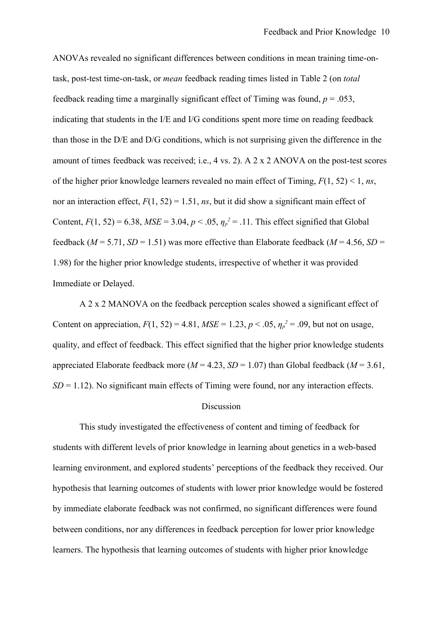ANOVAs revealed no significant differences between conditions in mean training time-ontask, post-test time-on-task, or *mean* feedback reading times listed in Table 2 (on *total* feedback reading time a marginally significant effect of Timing was found,  $p = .053$ , indicating that students in the I/E and I/G conditions spent more time on reading feedback than those in the D/E and D/G conditions, which is not surprising given the difference in the amount of times feedback was received; i.e., 4 vs. 2). A 2 x 2 ANOVA on the post-test scores of the higher prior knowledge learners revealed no main effect of Timing, *F*(1, 52) < 1, *ns*, nor an interaction effect,  $F(1, 52) = 1.51$ , *ns*, but it did show a significant main effect of Content,  $F(1, 52) = 6.38$ ,  $MSE = 3.04$ ,  $p < .05$ ,  $\eta_p^2 = .11$ . This effect signified that Global feedback ( $M = 5.71$ ,  $SD = 1.51$ ) was more effective than Elaborate feedback ( $M = 4.56$ ,  $SD =$ 1.98) for the higher prior knowledge students, irrespective of whether it was provided Immediate or Delayed.

A 2 x 2 MANOVA on the feedback perception scales showed a significant effect of Content on appreciation,  $F(1, 52) = 4.81$ ,  $MSE = 1.23$ ,  $p < .05$ ,  $\eta_p^2 = .09$ , but not on usage, quality, and effect of feedback. This effect signified that the higher prior knowledge students appreciated Elaborate feedback more ( $M = 4.23$ ,  $SD = 1.07$ ) than Global feedback ( $M = 3.61$ ,  $SD = 1.12$ ). No significant main effects of Timing were found, nor any interaction effects.

### **Discussion**

This study investigated the effectiveness of content and timing of feedback for students with different levels of prior knowledge in learning about genetics in a web-based learning environment, and explored students' perceptions of the feedback they received. Our hypothesis that learning outcomes of students with lower prior knowledge would be fostered by immediate elaborate feedback was not confirmed, no significant differences were found between conditions, nor any differences in feedback perception for lower prior knowledge learners. The hypothesis that learning outcomes of students with higher prior knowledge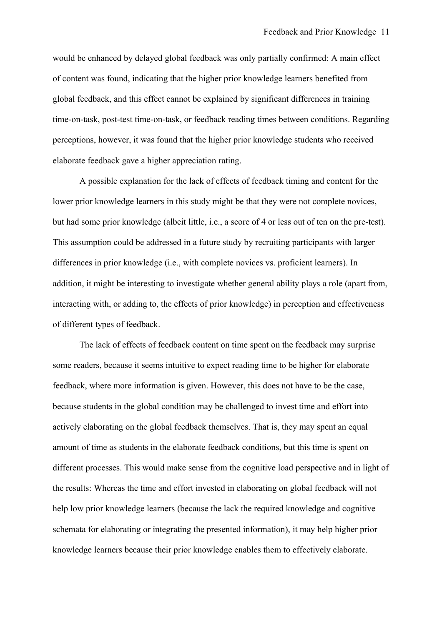would be enhanced by delayed global feedback was only partially confirmed: A main effect of content was found, indicating that the higher prior knowledge learners benefited from global feedback, and this effect cannot be explained by significant differences in training time-on-task, post-test time-on-task, or feedback reading times between conditions. Regarding perceptions, however, it was found that the higher prior knowledge students who received elaborate feedback gave a higher appreciation rating.

A possible explanation for the lack of effects of feedback timing and content for the lower prior knowledge learners in this study might be that they were not complete novices, but had some prior knowledge (albeit little, i.e., a score of 4 or less out of ten on the pre-test). This assumption could be addressed in a future study by recruiting participants with larger differences in prior knowledge (i.e., with complete novices vs. proficient learners). In addition, it might be interesting to investigate whether general ability plays a role (apart from, interacting with, or adding to, the effects of prior knowledge) in perception and effectiveness of different types of feedback.

The lack of effects of feedback content on time spent on the feedback may surprise some readers, because it seems intuitive to expect reading time to be higher for elaborate feedback, where more information is given. However, this does not have to be the case, because students in the global condition may be challenged to invest time and effort into actively elaborating on the global feedback themselves. That is, they may spent an equal amount of time as students in the elaborate feedback conditions, but this time is spent on different processes. This would make sense from the cognitive load perspective and in light of the results: Whereas the time and effort invested in elaborating on global feedback will not help low prior knowledge learners (because the lack the required knowledge and cognitive schemata for elaborating or integrating the presented information), it may help higher prior knowledge learners because their prior knowledge enables them to effectively elaborate.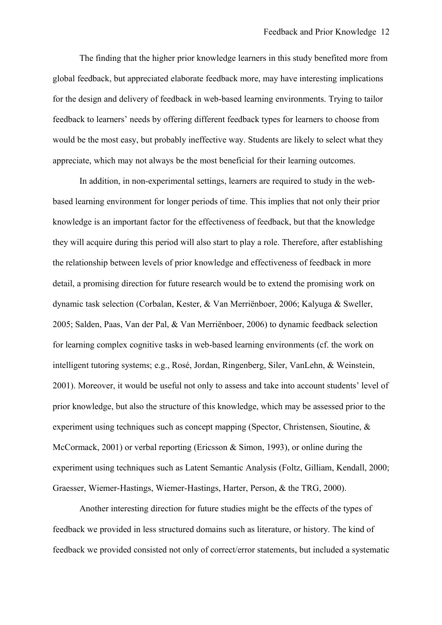The finding that the higher prior knowledge learners in this study benefited more from global feedback, but appreciated elaborate feedback more, may have interesting implications for the design and delivery of feedback in web-based learning environments. Trying to tailor feedback to learners' needs by offering different feedback types for learners to choose from would be the most easy, but probably ineffective way. Students are likely to select what they appreciate, which may not always be the most beneficial for their learning outcomes.

In addition, in non-experimental settings, learners are required to study in the webbased learning environment for longer periods of time. This implies that not only their prior knowledge is an important factor for the effectiveness of feedback, but that the knowledge they will acquire during this period will also start to play a role. Therefore, after establishing the relationship between levels of prior knowledge and effectiveness of feedback in more detail, a promising direction for future research would be to extend the promising work on dynamic task selection (Corbalan, Kester, & Van Merriënboer, 2006; Kalyuga & Sweller, 2005; Salden, Paas, Van der Pal, & Van Merriënboer, 2006) to dynamic feedback selection for learning complex cognitive tasks in web-based learning environments (cf. the work on intelligent tutoring systems; e.g., Rosé, Jordan, Ringenberg, Siler, VanLehn, & Weinstein, 2001). Moreover, it would be useful not only to assess and take into account students' level of prior knowledge, but also the structure of this knowledge, which may be assessed prior to the experiment using techniques such as concept mapping (Spector, Christensen, Sioutine, & McCormack, 2001) or verbal reporting (Ericsson & Simon, 1993), or online during the experiment using techniques such as Latent Semantic Analysis (Foltz, Gilliam, Kendall, 2000; Graesser, Wiemer-Hastings, Wiemer-Hastings, Harter, Person, & the TRG, 2000).

Another interesting direction for future studies might be the effects of the types of feedback we provided in less structured domains such as literature, or history. The kind of feedback we provided consisted not only of correct/error statements, but included a systematic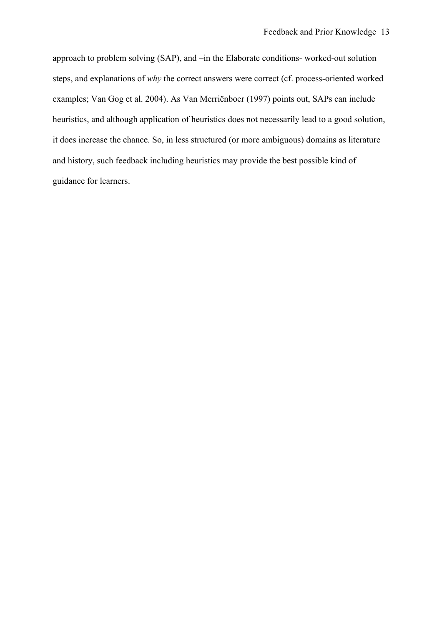approach to problem solving (SAP), and –in the Elaborate conditions- worked-out solution steps, and explanations of *why* the correct answers were correct (cf. process-oriented worked examples; Van Gog et al. 2004). As Van Merriënboer (1997) points out, SAPs can include heuristics, and although application of heuristics does not necessarily lead to a good solution, it does increase the chance. So, in less structured (or more ambiguous) domains as literature and history, such feedback including heuristics may provide the best possible kind of guidance for learners.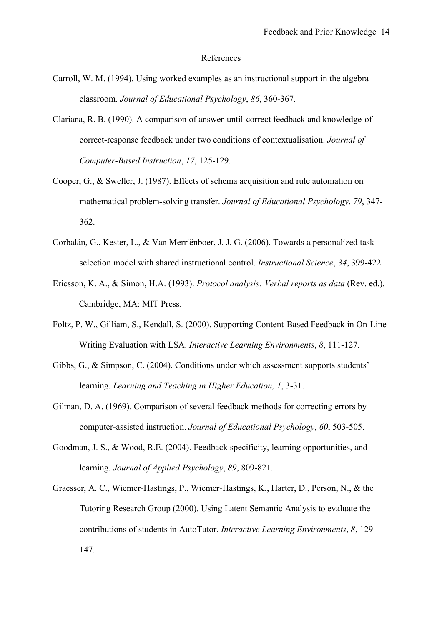#### References

- Carroll, W. M. (1994). Using worked examples as an instructional support in the algebra classroom. *Journal of Educational Psychology*, *86*, 360-367.
- Clariana, R. B. (1990). A comparison of answer-until-correct feedback and knowledge-ofcorrect-response feedback under two conditions of contextualisation. *Journal of Computer-Based Instruction*, *17*, 125-129.
- Cooper, G., & Sweller, J. (1987). Effects of schema acquisition and rule automation on mathematical problem-solving transfer. *Journal of Educational Psychology*, *79*, 347- 362.
- Corbalán, G., Kester, L., & Van Merriënboer, J. J. G. (2006). Towards a personalized task selection model with shared instructional control. *Instructional Science*, *34*, 399-422.
- Ericsson, K. A., & Simon, H.A. (1993). *Protocol analysis: Verbal reports as data* (Rev. ed.). Cambridge, MA: MIT Press.
- Foltz, P. W., Gilliam, S., Kendall, S. (2000). Supporting Content-Based Feedback in On-Line Writing Evaluation with LSA. *Interactive Learning Environments*, *8*, 111-127.
- Gibbs, G., & Simpson, C. (2004). Conditions under which assessment supports students' learning. *Learning and Teaching in Higher Education, 1*, 3-31.
- Gilman, D. A. (1969). Comparison of several feedback methods for correcting errors by computer-assisted instruction. *Journal of Educational Psychology*, *60*, 503-505.
- Goodman, J. S., & Wood, R.E. (2004). Feedback specificity, learning opportunities, and learning. *Journal of Applied Psychology*, *89*, 809-821.
- Graesser, A. C., Wiemer-Hastings, P., Wiemer-Hastings, K., Harter, D., Person, N., & the Tutoring Research Group (2000). Using Latent Semantic Analysis to evaluate the contributions of students in AutoTutor. *Interactive Learning Environments*, *8*, 129- 147.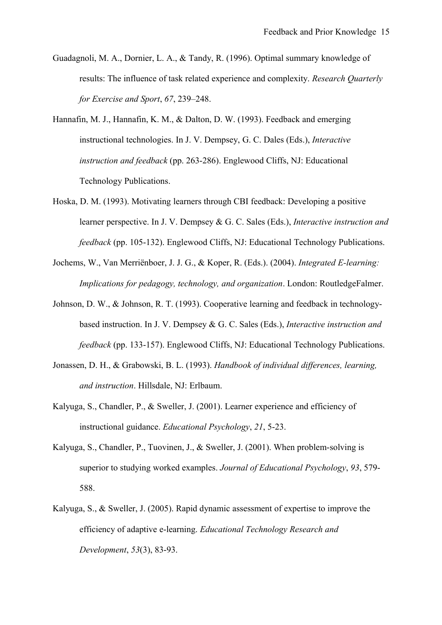- Guadagnoli, M. A., Dornier, L. A., & Tandy, R. (1996). Optimal summary knowledge of results: The influence of task related experience and complexity. *Research Quarterly for Exercise and Sport*, *67*, 239–248.
- Hannafin, M. J., Hannafin, K. M., & Dalton, D. W. (1993). Feedback and emerging instructional technologies. In J. V. Dempsey, G. C. Dales (Eds.), *Interactive instruction and feedback* (pp. 263-286). Englewood Cliffs, NJ: Educational Technology Publications.
- Hoska, D. M. (1993). Motivating learners through CBI feedback: Developing a positive learner perspective. In J. V. Dempsey & G. C. Sales (Eds.), *Interactive instruction and feedback* (pp. 105-132). Englewood Cliffs, NJ: Educational Technology Publications.
- Jochems, W., Van Merriënboer, J. J. G., & Koper, R. (Eds.). (2004). *Integrated E-learning: Implications for pedagogy, technology, and organization*. London: RoutledgeFalmer.
- Johnson, D. W., & Johnson, R. T. (1993). Cooperative learning and feedback in technologybased instruction. In J. V. Dempsey & G. C. Sales (Eds.), *Interactive instruction and feedback* (pp. 133-157). Englewood Cliffs, NJ: Educational Technology Publications.
- Jonassen, D. H., & Grabowski, B. L. (1993). *Handbook of individual differences, learning, and instruction*. Hillsdale, NJ: Erlbaum.
- Kalyuga, S., Chandler, P., & Sweller, J. (2001). Learner experience and efficiency of instructional guidance. *Educational Psychology*, *21*, 5-23.
- Kalyuga, S., Chandler, P., Tuovinen, J., & Sweller, J. (2001). When problem-solving is superior to studying worked examples. *Journal of Educational Psychology*, *93*, 579- 588.
- Kalyuga, S., & Sweller, J. (2005). Rapid dynamic assessment of expertise to improve the efficiency of adaptive e-learning. *Educational Technology Research and Development*, *53*(3), 83-93.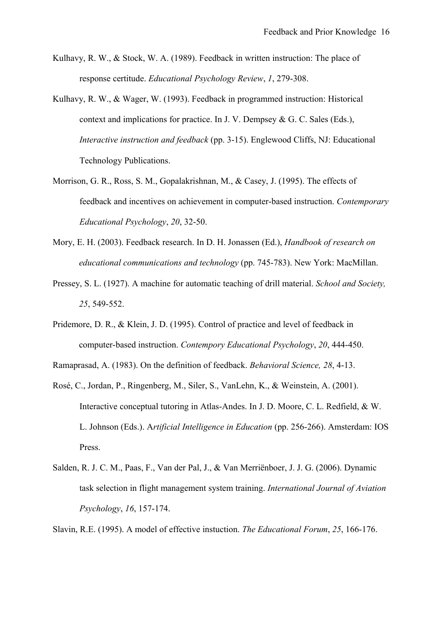- Kulhavy, R. W., & Stock, W. A. (1989). Feedback in written instruction: The place of response certitude. *Educational Psychology Review*, *1*, 279-308.
- Kulhavy, R. W., & Wager, W. (1993). Feedback in programmed instruction: Historical context and implications for practice. In J. V. Dempsey & G. C. Sales (Eds.), *Interactive instruction and feedback* (pp. 3-15). Englewood Cliffs, NJ: Educational Technology Publications.
- Morrison, G. R., Ross, S. M., Gopalakrishnan, M., & Casey, J. (1995). The effects of feedback and incentives on achievement in computer-based instruction. *Contemporary Educational Psychology*, *20*, 32-50.
- Mory, E. H. (2003). Feedback research. In D. H. Jonassen (Ed.), *Handbook of research on educational communications and technology* (pp. 745-783). New York: MacMillan.
- Pressey, S. L. (1927). A machine for automatic teaching of drill material. *School and Society, 25*, 549-552.
- Pridemore, D. R., & Klein, J. D. (1995). Control of practice and level of feedback in computer-based instruction. *Contempory Educational Psychology*, *20*, 444-450.
- Ramaprasad, A. (1983). On the definition of feedback. *Behavioral Science, 28*, 4-13.
- Rosé, C., Jordan, P., Ringenberg, M., Siler, S., VanLehn, K., & Weinstein, A. (2001). Interactive conceptual tutoring in Atlas-Andes. In J. D. Moore, C. L. Redfield, & W. L. Johnson (Eds.). A*rtificial Intelligence in Education* (pp. 256-266). Amsterdam: IOS Press.
- Salden, R. J. C. M., Paas, F., Van der Pal, J., & Van Merriënboer, J. J. G. (2006). Dynamic task selection in flight management system training. *International Journal of Aviation Psychology*, *16*, 157-174.

Slavin, R.E. (1995). A model of effective instuction. *The Educational Forum*, *25*, 166-176.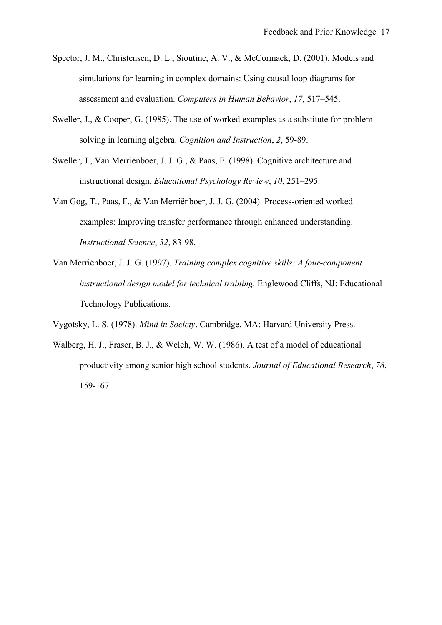- Spector, J. M., Christensen, D. L., Sioutine, A. V., & McCormack, D. (2001). Models and simulations for learning in complex domains: Using causal loop diagrams for assessment and evaluation. *Computers in Human Behavior*, *17*, 517–545.
- Sweller, J., & Cooper, G. (1985). The use of worked examples as a substitute for problemsolving in learning algebra. *Cognition and Instruction*, *2*, 59-89.
- Sweller, J., Van Merriënboer, J. J. G., & Paas, F. (1998). Cognitive architecture and instructional design. *Educational Psychology Review*, *10*, 251–295.
- Van Gog, T., Paas, F., & Van Merriënboer, J. J. G. (2004). Process-oriented worked examples: Improving transfer performance through enhanced understanding. *Instructional Science*, *32*, 83-98.
- Van Merriënboer, J. J. G. (1997). *Training complex cognitive skills: A four-component instructional design model for technical training.* Englewood Cliffs, NJ: Educational Technology Publications.

Vygotsky, L. S. (1978). *Mind in Society*. Cambridge, MA: Harvard University Press.

Walberg, H. J., Fraser, B. J., & Welch, W. W. (1986). A test of a model of educational productivity among senior high school students. *Journal of Educational Research*, *78*, 159-167.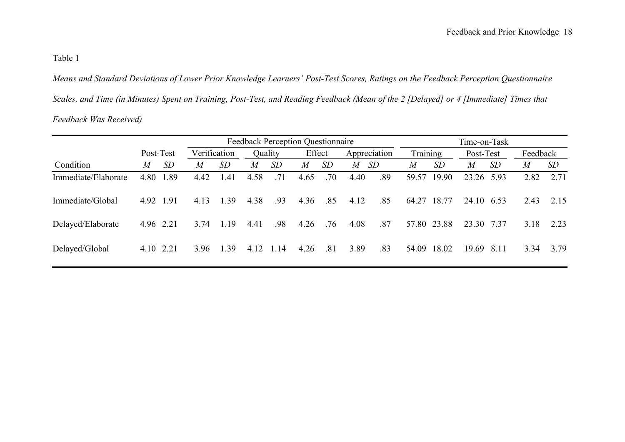## Table 1

*Means and Standard Deviations of Lower Prior Knowledge Learners' Post-Test Scores, Ratings on the Feedback Perception Questionnaire Scales, and Time (in Minutes) Spent on Training, Post-Test, and Reading Feedback (Mean of the 2 [Delayed] or 4 [Immediate] Times that Feedback Was Received)*

|                     |           |           | <b>Feedback Perception Questionnaire</b> |           |         |      |        |           |              |           |          | Time-on-Task |            |           |          |      |  |  |
|---------------------|-----------|-----------|------------------------------------------|-----------|---------|------|--------|-----------|--------------|-----------|----------|--------------|------------|-----------|----------|------|--|--|
|                     | Post-Test |           | Verification                             |           | Quality |      | Effect |           | Appreciation |           | Training |              | Post-Test  |           | Feedback |      |  |  |
| Condition           | M         | <i>SD</i> | M                                        | <i>SD</i> | M       | SD   | M      | <i>SD</i> | M            | <i>SD</i> | M        | SD           | M          | <i>SD</i> | M        | SD   |  |  |
| Immediate/Elaborate | 4.80      | 1.89      | 4.42                                     | 1.41      | 4.58    | .71  | 4.65   | .70       | 4.40         | .89       | 59.57    | 19.90        | 23.26 5.93 |           | 2.82     | 2.71 |  |  |
| Immediate/Global    | 4.92 1.91 |           | 4.13                                     | -39       | 4.38    | .93  | 4.36   | .85       | 4.12         | .85       | 64.27    | 18.77        | 24.10 6.53 |           | 2.43     | 2.15 |  |  |
| Delayed/Elaborate   | 4.96 2.21 |           | 3.74                                     | 1 1 9     | 4.41    | .98  | 4.26   | .76       | 4.08         | .87       |          | 57.80 23.88  | 23.30      | 7.37      | 3.18     | 2.23 |  |  |
| Delayed/Global      |           | 4.10 2.21 | 3.96                                     | 39        | 4.12    | 1.14 | 4.26   | .81       | 3.89         | .83       | 54.09    | 18.02        | 19.69      | 8.11      | 3.34     | 3.79 |  |  |